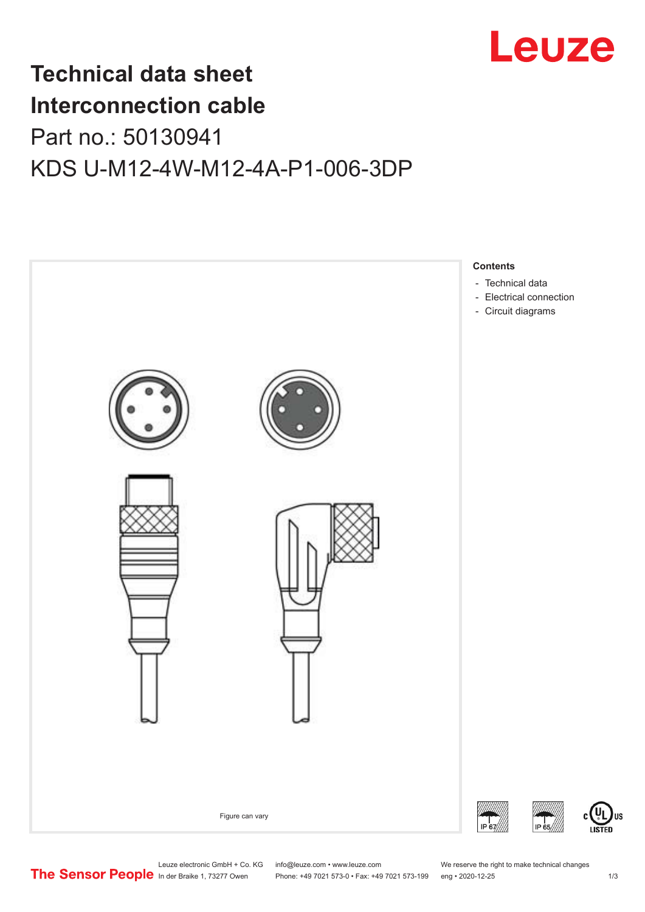

## **Technical data sheet Interconnection cable** Part no.: 50130941 KDS U-M12-4W-M12-4A-P1-006-3DP



Leuze electronic GmbH + Co. KG info@leuze.com • www.leuze.com We reserve the right to make technical changes<br>
The Sensor People in der Braike 1, 73277 Owen Phone: +49 7021 573-0 • Fax: +49 7021 573-199 eng • 2020-12-25

Phone: +49 7021 573-0 • Fax: +49 7021 573-199 eng • 2020-12-25 1 2020-12-25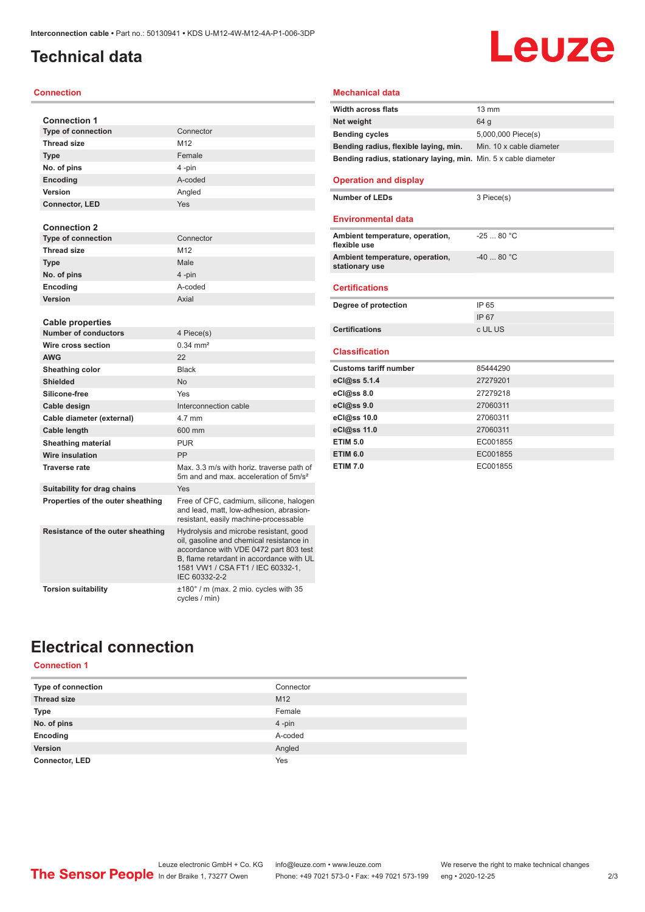## <span id="page-1-0"></span>**Technical data**

#### **Connection**

| <b>Connection 1</b>               |                                                                                                                                                                                                                                |
|-----------------------------------|--------------------------------------------------------------------------------------------------------------------------------------------------------------------------------------------------------------------------------|
| <b>Type of connection</b>         | Connector                                                                                                                                                                                                                      |
| <b>Thread size</b>                | M12                                                                                                                                                                                                                            |
| <b>Type</b>                       | Female                                                                                                                                                                                                                         |
| No. of pins                       | 4-pin                                                                                                                                                                                                                          |
| Encoding                          | A-coded                                                                                                                                                                                                                        |
| Version                           | Angled                                                                                                                                                                                                                         |
| <b>Connector, LED</b>             | Yes                                                                                                                                                                                                                            |
|                                   |                                                                                                                                                                                                                                |
| <b>Connection 2</b>               |                                                                                                                                                                                                                                |
| <b>Type of connection</b>         | Connector                                                                                                                                                                                                                      |
| <b>Thread size</b>                | M <sub>12</sub>                                                                                                                                                                                                                |
| <b>Type</b>                       | Male                                                                                                                                                                                                                           |
| No. of pins                       | 4-pin                                                                                                                                                                                                                          |
| Encoding                          | A-coded                                                                                                                                                                                                                        |
| Version                           | Axial                                                                                                                                                                                                                          |
|                                   |                                                                                                                                                                                                                                |
| <b>Cable properties</b>           |                                                                                                                                                                                                                                |
| <b>Number of conductors</b>       | 4 Piece(s)                                                                                                                                                                                                                     |
| Wire cross section                | $0.34 \, \text{mm}^2$                                                                                                                                                                                                          |
| <b>AWG</b>                        | 22                                                                                                                                                                                                                             |
| <b>Sheathing color</b>            | <b>Black</b>                                                                                                                                                                                                                   |
| <b>Shielded</b>                   | <b>No</b>                                                                                                                                                                                                                      |
| Silicone-free                     | Yes                                                                                                                                                                                                                            |
| Cable design                      | Interconnection cable                                                                                                                                                                                                          |
| Cable diameter (external)         | 4.7 mm                                                                                                                                                                                                                         |
| Cable length                      | 600 mm                                                                                                                                                                                                                         |
| <b>Sheathing material</b>         | <b>PUR</b>                                                                                                                                                                                                                     |
| <b>Wire insulation</b>            | PP                                                                                                                                                                                                                             |
| <b>Traverse rate</b>              | Max, 3.3 m/s with horiz, traverse path of<br>5m and and max, acceleration of 5m/s <sup>2</sup>                                                                                                                                 |
| Suitability for drag chains       | Yes                                                                                                                                                                                                                            |
| Properties of the outer sheathing | Free of CFC, cadmium, silicone, halogen<br>and lead, matt, low-adhesion, abrasion-<br>resistant, easily machine-processable                                                                                                    |
| Resistance of the outer sheathing | Hydrolysis and microbe resistant, good<br>oil, gasoline and chemical resistance in<br>accordance with VDE 0472 part 803 test<br>B, flame retardant in accordance with UL<br>1581 VW1 / CSA FT1 / IEC 60332-1,<br>IEC 60332-2-2 |
| <b>Torsion suitability</b>        | $\pm 180^\circ$ / m (max. 2 mio. cycles with 35<br>cycles / min)                                                                                                                                                               |

#### **Mechanical data**

| <b>Width across flats</b>                                       | $13 \text{ mm}$          |
|-----------------------------------------------------------------|--------------------------|
| Net weight                                                      | 64 a                     |
| <b>Bending cycles</b>                                           | 5,000,000 Piece(s)       |
| Bending radius, flexible laying, min.                           | Min. 10 x cable diameter |
| Bending radius, stationary laying, min. Min. 5 x cable diameter |                          |
|                                                                 |                          |

3 Piece(s)

**Leuze** 

#### **Operation and display**

| Number of LEDs |  |
|----------------|--|
|----------------|--|

#### **Environmental data**

| Ambient temperature, operation,<br>flexible use   | $-2580 °C$  |
|---------------------------------------------------|-------------|
| Ambient temperature, operation,<br>stationary use | $-40$ 80 °C |
| <b>Certifications</b>                             |             |
| Degree of protection                              | IP 65       |
|                                                   | IP 67       |
| <b>Certifications</b>                             | c UL US     |
|                                                   |             |
| <b>Classification</b>                             |             |
| <b>Customs tariff number</b>                      | 85444290    |
| eCl@ss 5.1.4                                      | 27279201    |
| eCl@ss 8.0                                        | 27279218    |
| eCl@ss 9.0                                        | 27060311    |
| eCl@ss 10.0                                       | 27060311    |
| eCl@ss 11.0                                       | 27060311    |
| <b>ETIM 5.0</b>                                   | EC001855    |

**ETIM 7.0** EC001855

## **Electrical connection**

#### **Connection 1**

| Type of connection    | Connector |
|-----------------------|-----------|
| <b>Thread size</b>    | M12       |
| <b>Type</b>           | Female    |
| No. of pins           | 4-pin     |
| Encoding              | A-coded   |
| <b>Version</b>        | Angled    |
| <b>Connector, LED</b> | Yes       |